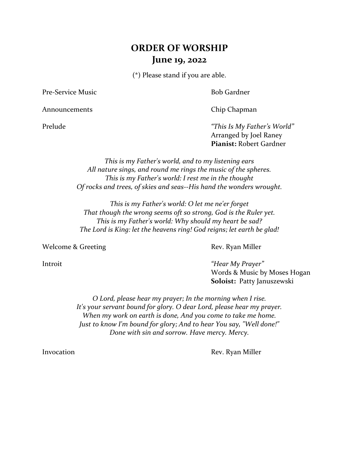# **ORDER OF WORSHIP June 19, 2022**

(\*) Please stand if you are able.

Pre-Service Music **Bob Gardner** 

Announcements Chip Chapman

Prelude *"This Is My Father's World"* Arranged by Joel Raney **Pianist:** Robert Gardner

> *This is my Father's world, and to my listening ears All nature sings, and round me rings the music of the spheres. This is my Father's world: I rest me in the thought Of rocks and trees, of skies and seas--His hand the wonders wrought.*

*This is my Father's world: O let me ne'er forget That though the wrong seems oft so strong, God is the Ruler yet. This is my Father's world: Why should my heart be sad? The Lord is King: let the heavens ring! God reigns; let earth be glad!*

Welcome & Greeting Rev. Ryan Miller

Introit *"Hear My Prayer"* Words & Music by Moses Hogan **Soloist:** Patty Januszewski

> *O Lord, please hear my prayer; In the morning when I rise. It's your servant bound for glory. O dear Lord, please hear my prayer. When my work on earth is done, And you come to take me home. Just to know I'm bound for glory; And to hear You say, "Well done!" Done with sin and sorrow. Have mercy. Mercy.*

Invocation Rev. Ryan Miller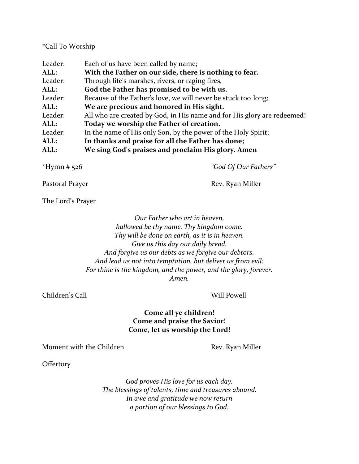### \*Call To Worship

| Leader: | Each of us have been called by name;                                    |
|---------|-------------------------------------------------------------------------|
| ALL:    | With the Father on our side, there is nothing to fear.                  |
| Leader: | Through life's marshes, rivers, or raging fires,                        |
| ALL:    | God the Father has promised to be with us.                              |
| Leader: | Because of the Father's love, we will never be stuck too long;          |
| ALL:    | We are precious and honored in His sight.                               |
| Leader: | All who are created by God, in His name and for His glory are redeemed! |
| ALL:    | Today we worship the Father of creation.                                |
| Leader: | In the name of His only Son, by the power of the Holy Spirit;           |
| ALL:    | In thanks and praise for all the Father has done;                       |
| ALL:    | We sing God's praises and proclaim His glory. Amen                      |

\*Hymn # 526 *"God Of Our Fathers"*

Pastoral Prayer **Rev. Ryan Miller** Rev. Ryan Miller

The Lord's Prayer

*Our Father who art in heaven, hallowed be thy name. Thy kingdom come. Thy will be done on earth, as it is in heaven. Give us this day our daily bread. And forgive us our debts as we forgive our debtors. And lead us not into temptation, but deliver us from evil: For thine is the kingdom, and the power, and the glory, forever. Amen.*

Children's Call Will Powell

# **Come all ye children! Come and praise the Savior! Come, let us worship the Lord!**

Moment with the Children **Rev. Ryan Miller** Rev. Ryan Miller

**Offertory** 

*God proves His love for us each day. The blessings of talents, time and treasures abound. In awe and gratitude we now return a portion of our blessings to God.*